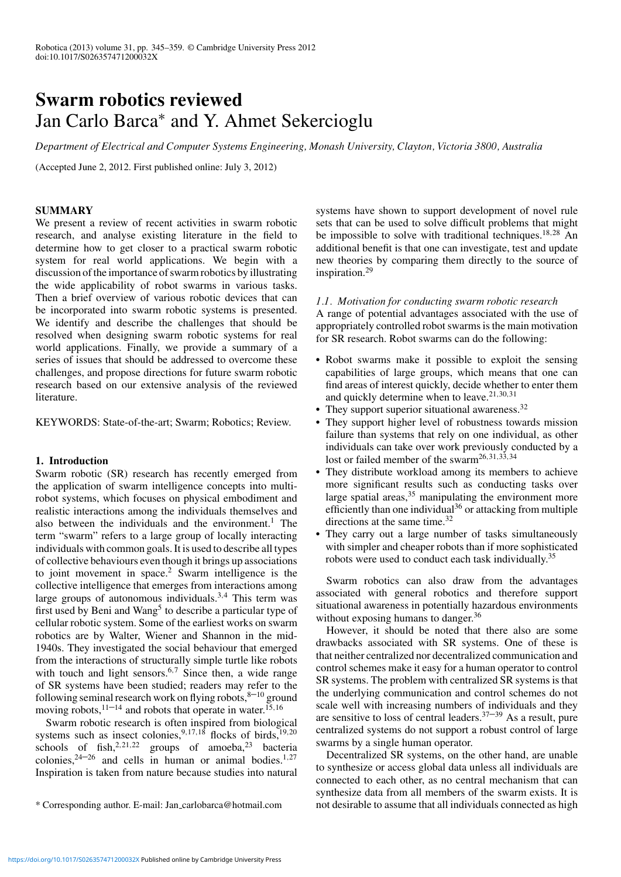# **Swarm robotics reviewed** Jan Carlo Barca<sup>∗</sup> and Y. Ahmet Sekercioglu

*Department of Electrical and Computer Systems Engineering, Monash University, Clayton, Victoria 3800, Australia*

(Accepted June 2, 2012. First published online: July 3, 2012)

# **SUMMARY**

We present a review of recent activities in swarm robotic research, and analyse existing literature in the field to determine how to get closer to a practical swarm robotic system for real world applications. We begin with a discussion of the importance of swarm robotics by illustrating the wide applicability of robot swarms in various tasks. Then a brief overview of various robotic devices that can be incorporated into swarm robotic systems is presented. We identify and describe the challenges that should be resolved when designing swarm robotic systems for real world applications. Finally, we provide a summary of a series of issues that should be addressed to overcome these challenges, and propose directions for future swarm robotic research based on our extensive analysis of the reviewed literature.

KEYWORDS: State-of-the-art; Swarm; Robotics; Review.

# **1. Introduction**

Swarm robotic (SR) research has recently emerged from the application of swarm intelligence concepts into multirobot systems, which focuses on physical embodiment and realistic interactions among the individuals themselves and also between the individuals and the environment.<sup>1</sup> The term "swarm" refers to a large group of locally interacting individuals with common goals. It is used to describe all types of collective behaviours even though it brings up associations to joint movement in space.<sup>2</sup> Swarm intelligence is the collective intelligence that emerges from interactions among large groups of autonomous individuals.3*,*<sup>4</sup> This term was first used by Beni and Wang<sup>5</sup> to describe a particular type of cellular robotic system. Some of the earliest works on swarm robotics are by Walter, Wiener and Shannon in the mid-1940s. They investigated the social behaviour that emerged from the interactions of structurally simple turtle like robots with touch and light sensors.<sup>6,7</sup> Since then, a wide range of SR systems have been studied; readers may refer to the following seminal research work on flying robots, $8-10$  ground moving robots,<sup>11–14</sup> and robots that operate in water.<sup>15,16</sup>

Swarm robotic research is often inspired from biological systems such as insect colonies,<sup>9,17,18</sup> flocks of birds,<sup>19,20</sup> schools of fish,<sup>2,21,22</sup> groups of amoeba,<sup>23</sup> bacteria colonies,  $24-26$  and cells in human or animal bodies.<sup>1,27</sup> Inspiration is taken from nature because studies into natural systems have shown to support development of novel rule sets that can be used to solve difficult problems that might be impossible to solve with traditional techniques.18*,*<sup>28</sup> An additional benefit is that one can investigate, test and update new theories by comparing them directly to the source of inspiration.<sup>29</sup>

# *1.1. Motivation for conducting swarm robotic research*

A range of potential advantages associated with the use of appropriately controlled robot swarms is the main motivation for SR research. Robot swarms can do the following:

- Robot swarms make it possible to exploit the sensing capabilities of large groups, which means that one can find areas of interest quickly, decide whether to enter them and quickly determine when to leave.<sup>21</sup>*,*30*,*<sup>31</sup>
- They support superior situational awareness.<sup>32</sup>
- They support higher level of robustness towards mission failure than systems that rely on one individual, as other individuals can take over work previously conducted by a lost or failed member of the swarm26*,*31*,*33*,*<sup>34</sup>
- They distribute workload among its members to achieve more significant results such as conducting tasks over large spatial areas,<sup>35</sup> manipulating the environment more efficiently than one individual<sup>36</sup> or attacking from multiple directions at the same time. $32$
- They carry out a large number of tasks simultaneously with simpler and cheaper robots than if more sophisticated robots were used to conduct each task individually.<sup>35</sup>

Swarm robotics can also draw from the advantages associated with general robotics and therefore support situational awareness in potentially hazardous environments without exposing humans to danger.<sup>36</sup>

However, it should be noted that there also are some drawbacks associated with SR systems. One of these is that neither centralized nor decentralized communication and control schemes make it easy for a human operator to control SR systems. The problem with centralized SR systems is that the underlying communication and control schemes do not scale well with increasing numbers of individuals and they are sensitive to loss of central leaders.<sup>37–39</sup> As a result, pure centralized systems do not support a robust control of large swarms by a single human operator.

Decentralized SR systems, on the other hand, are unable to synthesize or access global data unless all individuals are connected to each other, as no central mechanism that can synthesize data from all members of the swarm exists. It is not desirable to assume that all individuals connected as high

<sup>\*</sup> Corresponding author. E-mail: Jan carlobarca@hotmail.com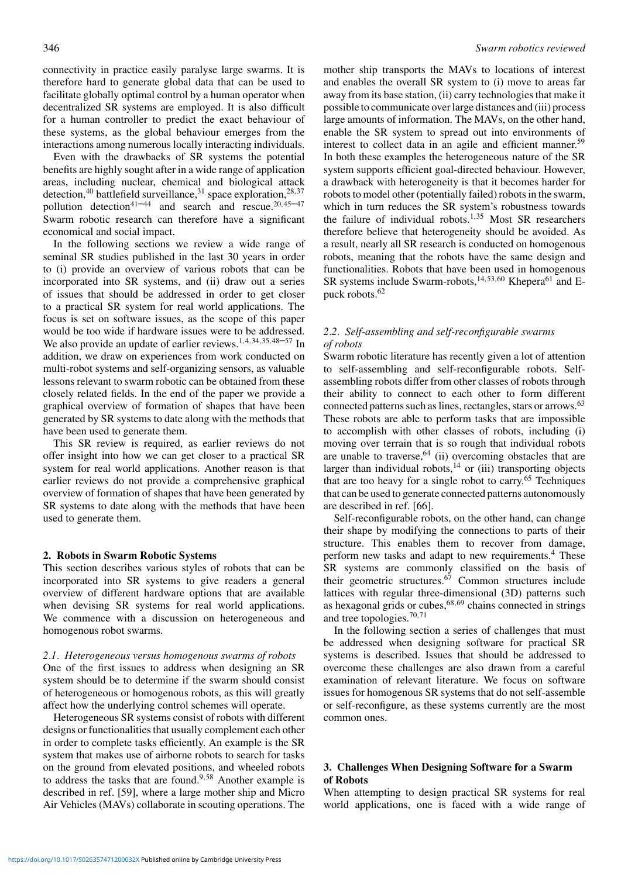connectivity in practice easily paralyse large swarms. It is therefore hard to generate global data that can be used to facilitate globally optimal control by a human operator when decentralized SR systems are employed. It is also difficult for a human controller to predict the exact behaviour of these systems, as the global behaviour emerges from the interactions among numerous locally interacting individuals.

Even with the drawbacks of SR systems the potential benefits are highly sought after in a wide range of application areas, including nuclear, chemical and biological attack detection,<sup>40</sup> battlefield surveillance,<sup>31</sup> space exploration,<sup>28</sup>*,*<sup>37</sup> pollution detection41–44 and search and rescue.<sup>20</sup>*,*45–47 Swarm robotic research can therefore have a significant economical and social impact.

In the following sections we review a wide range of seminal SR studies published in the last 30 years in order to (i) provide an overview of various robots that can be incorporated into SR systems, and (ii) draw out a series of issues that should be addressed in order to get closer to a practical SR system for real world applications. The focus is set on software issues, as the scope of this paper would be too wide if hardware issues were to be addressed. We also provide an update of earlier reviews.<sup>1</sup>*,*4*,*34*,*35*,*48–57 In addition, we draw on experiences from work conducted on multi-robot systems and self-organizing sensors, as valuable lessons relevant to swarm robotic can be obtained from these closely related fields. In the end of the paper we provide a graphical overview of formation of shapes that have been generated by SR systems to date along with the methods that have been used to generate them.

This SR review is required, as earlier reviews do not offer insight into how we can get closer to a practical SR system for real world applications. Another reason is that earlier reviews do not provide a comprehensive graphical overview of formation of shapes that have been generated by SR systems to date along with the methods that have been used to generate them.

### **2. Robots in Swarm Robotic Systems**

This section describes various styles of robots that can be incorporated into SR systems to give readers a general overview of different hardware options that are available when devising SR systems for real world applications. We commence with a discussion on heterogeneous and homogenous robot swarms.

### *2.1. Heterogeneous versus homogenous swarms of robots*

One of the first issues to address when designing an SR system should be to determine if the swarm should consist of heterogeneous or homogenous robots, as this will greatly affect how the underlying control schemes will operate.

Heterogeneous SR systems consist of robots with different designs or functionalities that usually complement each other in order to complete tasks efficiently. An example is the SR system that makes use of airborne robots to search for tasks on the ground from elevated positions, and wheeled robots to address the tasks that are found.<sup>9</sup>*,*<sup>58</sup> Another example is described in ref. [59], where a large mother ship and Micro Air Vehicles (MAVs) collaborate in scouting operations. The mother ship transports the MAVs to locations of interest and enables the overall SR system to (i) move to areas far away from its base station, (ii) carry technologies that make it possible to communicate over large distances and (iii) process large amounts of information. The MAVs, on the other hand, enable the SR system to spread out into environments of interest to collect data in an agile and efficient manner.<sup>59</sup> In both these examples the heterogeneous nature of the SR system supports efficient goal-directed behaviour. However, a drawback with heterogeneity is that it becomes harder for robots to model other (potentially failed) robots in the swarm, which in turn reduces the SR system's robustness towards the failure of individual robots.<sup>1</sup>*,*<sup>35</sup> Most SR researchers therefore believe that heterogeneity should be avoided. As a result, nearly all SR research is conducted on homogenous robots, meaning that the robots have the same design and functionalities. Robots that have been used in homogenous SR systems include Swarm-robots,<sup>14,53,60</sup> Khepera<sup>61</sup> and Epuck robots.<sup>62</sup>

# *2.2. Self-assembling and self-reconfigurable swarms of robots*

Swarm robotic literature has recently given a lot of attention to self-assembling and self-reconfigurable robots. Selfassembling robots differ from other classes of robots through their ability to connect to each other to form different connected patterns such as lines, rectangles, stars or arrows.<sup>63</sup> These robots are able to perform tasks that are impossible to accomplish with other classes of robots, including (i) moving over terrain that is so rough that individual robots are unable to traverse,  $64$  (ii) overcoming obstacles that are larger than individual robots,<sup>14</sup> or (iii) transporting objects that are too heavy for a single robot to carry.<sup>65</sup> Techniques that can be used to generate connected patterns autonomously are described in ref. [66].

Self-reconfigurable robots, on the other hand, can change their shape by modifying the connections to parts of their structure. This enables them to recover from damage, perform new tasks and adapt to new requirements.<sup>4</sup> These SR systems are commonly classified on the basis of their geometric structures.<sup>67</sup> Common structures include lattices with regular three-dimensional (3D) patterns such as hexagonal grids or cubes,<sup>68,69</sup> chains connected in strings and tree topologies.<sup>70</sup>*,*<sup>71</sup>

In the following section a series of challenges that must be addressed when designing software for practical SR systems is described. Issues that should be addressed to overcome these challenges are also drawn from a careful examination of relevant literature. We focus on software issues for homogenous SR systems that do not self-assemble or self-reconfigure, as these systems currently are the most common ones.

# **3. Challenges When Designing Software for a Swarm of Robots**

When attempting to design practical SR systems for real world applications, one is faced with a wide range of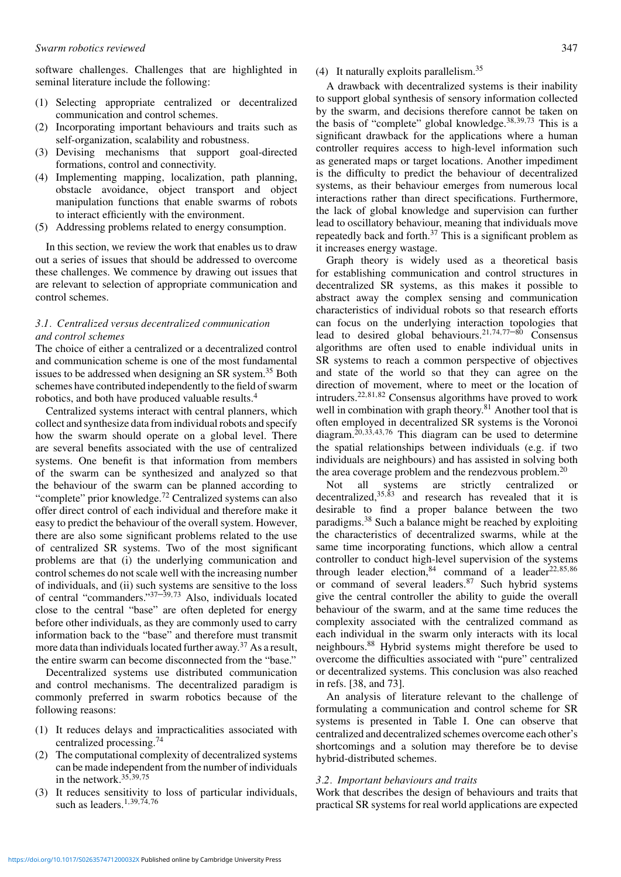software challenges. Challenges that are highlighted in seminal literature include the following:

- (1) Selecting appropriate centralized or decentralized communication and control schemes.
- Incorporating important behaviours and traits such as self-organization, scalability and robustness.
- (3) Devising mechanisms that support goal-directed formations, control and connectivity.
- (4) Implementing mapping, localization, path planning, obstacle avoidance, object transport and object manipulation functions that enable swarms of robots to interact efficiently with the environment.
- (5) Addressing problems related to energy consumption.

In this section, we review the work that enables us to draw out a series of issues that should be addressed to overcome these challenges. We commence by drawing out issues that are relevant to selection of appropriate communication and control schemes.

# *3.1. Centralized versus decentralized communication and control schemes*

The choice of either a centralized or a decentralized control and communication scheme is one of the most fundamental issues to be addressed when designing an SR system.<sup>35</sup> Both schemes have contributed independently to the field of swarm robotics, and both have produced valuable results.<sup>4</sup>

Centralized systems interact with central planners, which collect and synthesize data from individual robots and specify how the swarm should operate on a global level. There are several benefits associated with the use of centralized systems. One benefit is that information from members of the swarm can be synthesized and analyzed so that the behaviour of the swarm can be planned according to "complete" prior knowledge.<sup>72</sup> Centralized systems can also offer direct control of each individual and therefore make it easy to predict the behaviour of the overall system. However, there are also some significant problems related to the use of centralized SR systems. Two of the most significant problems are that (i) the underlying communication and control schemes do not scale well with the increasing number of individuals, and (ii) such systems are sensitive to the loss of central "commanders."37–39*,*<sup>73</sup> Also, individuals located close to the central "base" are often depleted for energy before other individuals, as they are commonly used to carry information back to the "base" and therefore must transmit more data than individuals located further away.<sup>37</sup> As a result, the entire swarm can become disconnected from the "base."

Decentralized systems use distributed communication and control mechanisms. The decentralized paradigm is commonly preferred in swarm robotics because of the following reasons:

- (1) It reduces delays and impracticalities associated with centralized processing.<sup>74</sup>
- (2) The computational complexity of decentralized systems can be made independent from the number of individuals in the network.<sup>35</sup>*,*39*,*<sup>75</sup>
- (3) It reduces sensitivity to loss of particular individuals, such as leaders.<sup>1</sup>*,*39*,*74*,*<sup>76</sup>

# (4) It naturally exploits parallelism.<sup>35</sup>

A drawback with decentralized systems is their inability to support global synthesis of sensory information collected by the swarm, and decisions therefore cannot be taken on the basis of "complete" global knowledge.<sup>38</sup>*,*39*,*<sup>73</sup> This is a significant drawback for the applications where a human controller requires access to high-level information such as generated maps or target locations. Another impediment is the difficulty to predict the behaviour of decentralized systems, as their behaviour emerges from numerous local interactions rather than direct specifications. Furthermore, the lack of global knowledge and supervision can further lead to oscillatory behaviour, meaning that individuals move repeatedly back and forth. $37$  This is a significant problem as it increases energy wastage.

Graph theory is widely used as a theoretical basis for establishing communication and control structures in decentralized SR systems, as this makes it possible to abstract away the complex sensing and communication characteristics of individual robots so that research efforts can focus on the underlying interaction topologies that lead to desired global behaviours.<sup>21</sup>*,*74*,*77–80 Consensus algorithms are often used to enable individual units in SR systems to reach a common perspective of objectives and state of the world so that they can agree on the direction of movement, where to meet or the location of intruders.<sup>22</sup>*,*81*,*<sup>82</sup> Consensus algorithms have proved to work well in combination with graph theory.<sup>81</sup> Another tool that is often employed in decentralized SR systems is the Voronoi diagram.<sup>20</sup>*,*33*,*43*,*<sup>76</sup> This diagram can be used to determine the spatial relationships between individuals (e.g. if two individuals are neighbours) and has assisted in solving both the area coverage problem and the rendezvous problem.<sup>20</sup>

Not all systems are strictly centralized or decentralized,<sup>35,83</sup> and research has revealed that it is desirable to find a proper balance between the two paradigms.<sup>38</sup> Such a balance might be reached by exploiting the characteristics of decentralized swarms, while at the same time incorporating functions, which allow a central controller to conduct high-level supervision of the systems through leader election,<sup>84</sup> command of a leader22*,*85*,*<sup>86</sup> or command of several leaders.<sup>87</sup> Such hybrid systems give the central controller the ability to guide the overall behaviour of the swarm, and at the same time reduces the complexity associated with the centralized command as each individual in the swarm only interacts with its local neighbours.<sup>88</sup> Hybrid systems might therefore be used to overcome the difficulties associated with "pure" centralized or decentralized systems. This conclusion was also reached in refs. [38, and 73].

An analysis of literature relevant to the challenge of formulating a communication and control scheme for SR systems is presented in Table I. One can observe that centralized and decentralized schemes overcome each other's shortcomings and a solution may therefore be to devise hybrid-distributed schemes.

# *3.2. Important behaviours and traits*

Work that describes the design of behaviours and traits that practical SR systems for real world applications are expected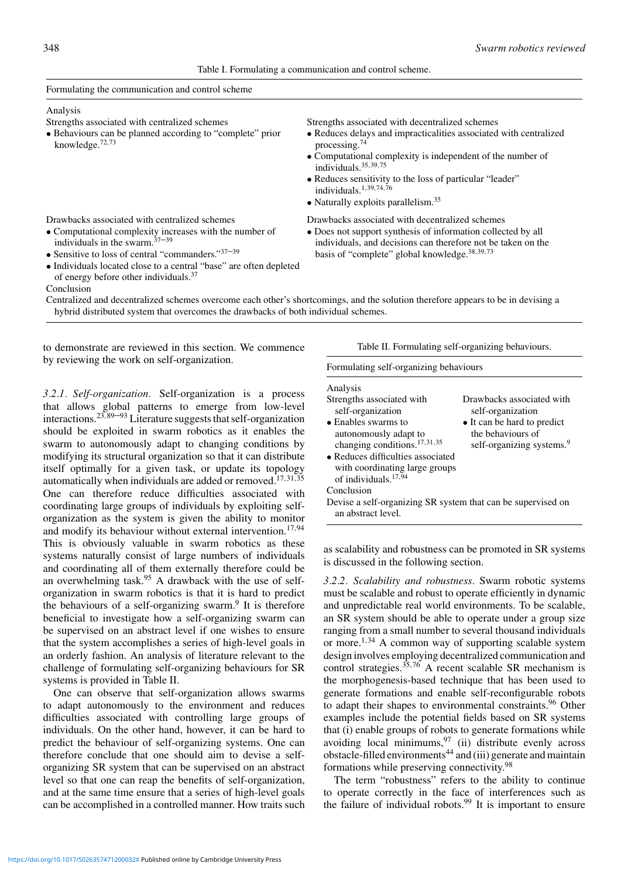## Table I. Formulating a communication and control scheme.

| Formulating the communication and control scheme                                                                        |                                                                                                                              |  |  |
|-------------------------------------------------------------------------------------------------------------------------|------------------------------------------------------------------------------------------------------------------------------|--|--|
| Analysis                                                                                                                |                                                                                                                              |  |  |
| Strengths associated with centralized schemes                                                                           | Strengths associated with decentralized schemes                                                                              |  |  |
| • Behaviours can be planned according to "complete" prior<br>knowledge. $72,73$                                         | • Reduces delays and impracticalities associated with centralized<br>processing. $74$                                        |  |  |
|                                                                                                                         | • Computational complexity is independent of the number of<br>individuals. $35,39,75$                                        |  |  |
|                                                                                                                         | • Reduces sensitivity to the loss of particular "leader"<br>individuals. <sup>1,39,74,76</sup>                               |  |  |
|                                                                                                                         | $\bullet$ Naturally exploits parallelism. <sup>35</sup>                                                                      |  |  |
| Drawbacks associated with centralized schemes                                                                           | Drawbacks associated with decentralized schemes                                                                              |  |  |
| • Computational complexity increases with the number of<br>individuals in the swarm. $37-39$                            | • Does not support synthesis of information collected by all<br>individuals, and decisions can therefore not be taken on the |  |  |
| • Sensitive to loss of central "commanders." $37-39$                                                                    | basis of "complete" global knowledge. <sup>38,39,73</sup>                                                                    |  |  |
| • Individuals located close to a central "base" are often depleted<br>of energy before other individuals. <sup>37</sup> |                                                                                                                              |  |  |

Conclusion Centralized and decentralized schemes overcome each other's shortcomings, and the solution therefore appears to be in devising a hybrid distributed system that overcomes the drawbacks of both individual schemes.

to demonstrate are reviewed in this section. We commence by reviewing the work on self-organization.

*3.2.1. Self-organization.* Self-organization is a process that allows global patterns to emerge from low-level interactions.<sup>23</sup>*,*89–93 Literature suggests that self-organization should be exploited in swarm robotics as it enables the swarm to autonomously adapt to changing conditions by modifying its structural organization so that it can distribute itself optimally for a given task, or update its topology automatically when individuals are added or removed.<sup>17</sup>*,*31*,*<sup>35</sup> One can therefore reduce difficulties associated with coordinating large groups of individuals by exploiting selforganization as the system is given the ability to monitor and modify its behaviour without external intervention.17*,*<sup>94</sup> This is obviously valuable in swarm robotics as these systems naturally consist of large numbers of individuals and coordinating all of them externally therefore could be an overwhelming task. $95$  A drawback with the use of selforganization in swarm robotics is that it is hard to predict the behaviours of a self-organizing swarm. $9$  It is therefore beneficial to investigate how a self-organizing swarm can be supervised on an abstract level if one wishes to ensure that the system accomplishes a series of high-level goals in an orderly fashion. An analysis of literature relevant to the challenge of formulating self-organizing behaviours for SR systems is provided in Table II.

One can observe that self-organization allows swarms to adapt autonomously to the environment and reduces difficulties associated with controlling large groups of individuals. On the other hand, however, it can be hard to predict the behaviour of self-organizing systems. One can therefore conclude that one should aim to devise a selforganizing SR system that can be supervised on an abstract level so that one can reap the benefits of self-organization, and at the same time ensure that a series of high-level goals can be accomplished in a controlled manner. How traits such Table II. Formulating self-organizing behaviours.

### Formulating self-organizing behaviours

#### Analysis Strengths associated with self-organization Drawbacks associated with self-organization

| scii-organization                                            | scii-organization                     |
|--------------------------------------------------------------|---------------------------------------|
| $\bullet$ Enables swarms to                                  | • It can be hard to predict           |
| autonomously adapt to                                        | the behaviours of                     |
| changing conditions. $17,31,35$                              | self-organizing systems. <sup>9</sup> |
| • Reduces difficulties associated                            |                                       |
| with coordinating large groups                               |                                       |
| of individuals. <sup>17,94</sup>                             |                                       |
| Conclusion                                                   |                                       |
| Devise a self-organizing SR system that can be supervised on |                                       |
| an abstract level.                                           |                                       |

as scalability and robustness can be promoted in SR systems is discussed in the following section.

*3.2.2. Scalability and robustness.* Swarm robotic systems must be scalable and robust to operate efficiently in dynamic and unpredictable real world environments. To be scalable, an SR system should be able to operate under a group size ranging from a small number to several thousand individuals or more.<sup>1</sup>*,*<sup>34</sup> A common way of supporting scalable system design involves employing decentralized communication and control strategies.<sup>35</sup>*,*<sup>76</sup> A recent scalable SR mechanism is the morphogenesis-based technique that has been used to generate formations and enable self-reconfigurable robots to adapt their shapes to environmental constraints.<sup>96</sup> Other examples include the potential fields based on SR systems that (i) enable groups of robots to generate formations while avoiding local minimums, $97$  (ii) distribute evenly across obstacle-filled environments<sup>44</sup> and (iii) generate and maintain formations while preserving connectivity.<sup>98</sup>

The term "robustness" refers to the ability to continue to operate correctly in the face of interferences such as the failure of individual robots.<sup>99</sup> It is important to ensure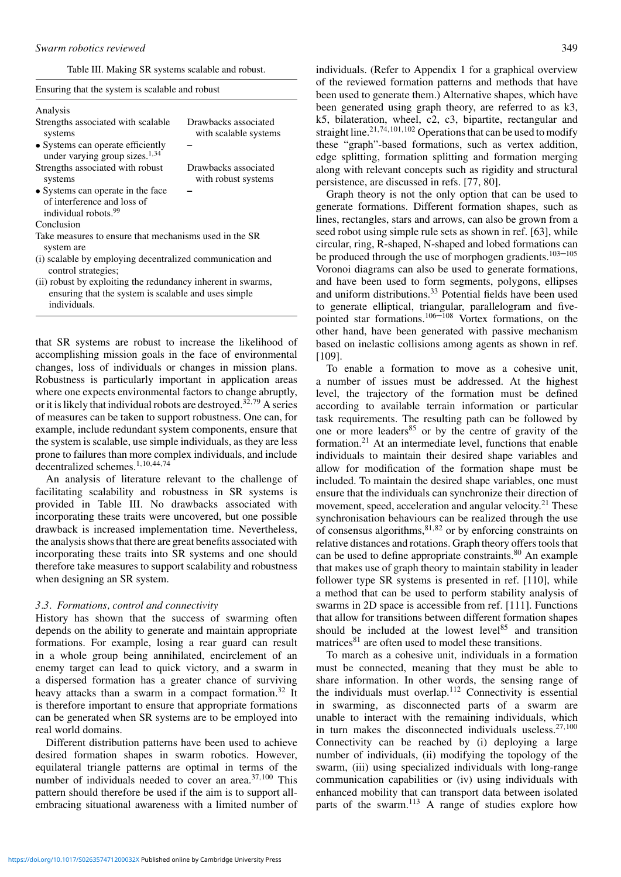Table III. Making SR systems scalable and robust.

Ensuring that the system is scalable and robust

| Analysis                                                                                             |                                               |  |  |
|------------------------------------------------------------------------------------------------------|-----------------------------------------------|--|--|
| Strengths associated with scalable<br>systems                                                        | Drawbacks associated<br>with scalable systems |  |  |
| • Systems can operate efficiently<br>under varying group sizes. $1,34$                               |                                               |  |  |
| Strengths associated with robust<br>systems                                                          | Drawbacks associated<br>with robust systems   |  |  |
| • Systems can operate in the face<br>of interference and loss of<br>individual robots. <sup>99</sup> |                                               |  |  |
| Conclusion                                                                                           |                                               |  |  |
| Take measures to ensure that mechanisms used in the SR<br>system are                                 |                                               |  |  |
| (i) scalable by employing decentralized communication and<br>control strategies;                     |                                               |  |  |
| (ii) robust by exploiting the redundancy inherent in swarms,                                         |                                               |  |  |

ensuring that the system is scalable and uses simple individuals.

that SR systems are robust to increase the likelihood of accomplishing mission goals in the face of environmental changes, loss of individuals or changes in mission plans. Robustness is particularly important in application areas where one expects environmental factors to change abruptly, or it is likely that individual robots are destroyed.<sup>32</sup>*,*<sup>79</sup> A series of measures can be taken to support robustness. One can, for example, include redundant system components, ensure that the system is scalable, use simple individuals, as they are less prone to failures than more complex individuals, and include decentralized schemes.<sup>1</sup>*,*10*,*44*,*<sup>74</sup>

An analysis of literature relevant to the challenge of facilitating scalability and robustness in SR systems is provided in Table III. No drawbacks associated with incorporating these traits were uncovered, but one possible drawback is increased implementation time. Nevertheless, the analysis shows that there are great benefits associated with incorporating these traits into SR systems and one should therefore take measures to support scalability and robustness when designing an SR system.

### *3.3. Formations, control and connectivity*

History has shown that the success of swarming often depends on the ability to generate and maintain appropriate formations. For example, losing a rear guard can result in a whole group being annihilated, encirclement of an enemy target can lead to quick victory, and a swarm in a dispersed formation has a greater chance of surviving heavy attacks than a swarm in a compact formation.<sup>32</sup> It is therefore important to ensure that appropriate formations can be generated when SR systems are to be employed into real world domains.

Different distribution patterns have been used to achieve desired formation shapes in swarm robotics. However, equilateral triangle patterns are optimal in terms of the number of individuals needed to cover an area.<sup>37</sup>*,*<sup>100</sup> This pattern should therefore be used if the aim is to support allembracing situational awareness with a limited number of individuals. (Refer to Appendix 1 for a graphical overview of the reviewed formation patterns and methods that have been used to generate them.) Alternative shapes, which have been generated using graph theory, are referred to as k3, k5, bilateration, wheel, c2, c3, bipartite, rectangular and straight line.<sup>21,74,101,102</sup> Operations that can be used to modify these "graph"-based formations, such as vertex addition, edge splitting, formation splitting and formation merging along with relevant concepts such as rigidity and structural persistence, are discussed in refs. [77, 80].

Graph theory is not the only option that can be used to generate formations. Different formation shapes, such as lines, rectangles, stars and arrows, can also be grown from a seed robot using simple rule sets as shown in ref. [63], while circular, ring, R-shaped, N-shaped and lobed formations can be produced through the use of morphogen gradients.<sup>103–105</sup> Voronoi diagrams can also be used to generate formations, and have been used to form segments, polygons, ellipses and uniform distributions.<sup>33</sup> Potential fields have been used to generate elliptical, triangular, parallelogram and fivepointed star formations.<sup>106–108</sup> Vortex formations, on the other hand, have been generated with passive mechanism based on inelastic collisions among agents as shown in ref. [109].

To enable a formation to move as a cohesive unit, a number of issues must be addressed. At the highest level, the trajectory of the formation must be defined according to available terrain information or particular task requirements. The resulting path can be followed by one or more leaders<sup>85</sup> or by the centre of gravity of the formation.<sup>21</sup> At an intermediate level, functions that enable individuals to maintain their desired shape variables and allow for modification of the formation shape must be included. To maintain the desired shape variables, one must ensure that the individuals can synchronize their direction of movement, speed, acceleration and angular velocity.<sup>21</sup> These synchronisation behaviours can be realized through the use of consensus algorithms,<sup>81</sup>*,*<sup>82</sup> or by enforcing constraints on relative distances and rotations. Graph theory offers tools that can be used to define appropriate constraints.<sup>80</sup> An example that makes use of graph theory to maintain stability in leader follower type SR systems is presented in ref. [110], while a method that can be used to perform stability analysis of swarms in 2D space is accessible from ref. [111]. Functions that allow for transitions between different formation shapes should be included at the lowest level<sup>85</sup> and transition matrices<sup>81</sup> are often used to model these transitions.

To march as a cohesive unit, individuals in a formation must be connected, meaning that they must be able to share information. In other words, the sensing range of the individuals must overlap.<sup>112</sup> Connectivity is essential in swarming, as disconnected parts of a swarm are unable to interact with the remaining individuals, which in turn makes the disconnected individuals useless.<sup>27</sup>*,*<sup>100</sup> Connectivity can be reached by (i) deploying a large number of individuals, (ii) modifying the topology of the swarm, (iii) using specialized individuals with long-range communication capabilities or (iv) using individuals with enhanced mobility that can transport data between isolated parts of the swarm.<sup>113</sup> A range of studies explore how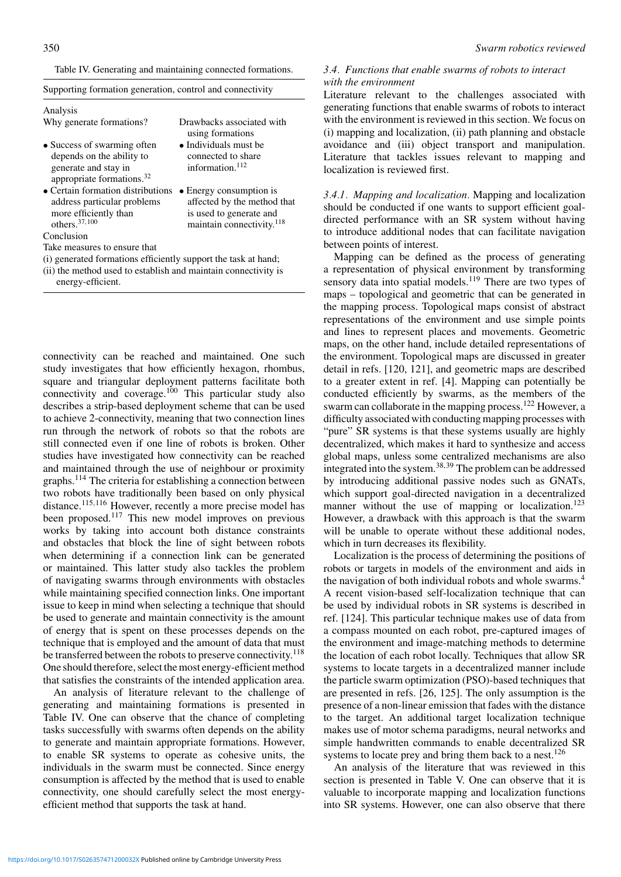|  | Table IV. Generating and maintaining connected formations. |  |
|--|------------------------------------------------------------|--|
|  |                                                            |  |

| Supporting formation generation, control and connectivity                                                              |                                                                                                                            |  |  |
|------------------------------------------------------------------------------------------------------------------------|----------------------------------------------------------------------------------------------------------------------------|--|--|
| Analysis                                                                                                               |                                                                                                                            |  |  |
| Why generate formations?                                                                                               | Drawbacks associated with<br>using formations                                                                              |  |  |
| • Success of swarming often<br>depends on the ability to<br>generate and stay in<br>appropriate formations. $32$       | $\bullet$ Individuals must be<br>connected to share<br>information. <sup>112</sup>                                         |  |  |
| • Certain formation distributions<br>address particular problems<br>more efficiently than<br>others. <sup>37,100</sup> | • Energy consumption is<br>affected by the method that<br>is used to generate and<br>maintain connectivity. <sup>118</sup> |  |  |
| Conclusion                                                                                                             |                                                                                                                            |  |  |

Take measures to ensure that

- (i) generated formations efficiently support the task at hand;
- (ii) the method used to establish and maintain connectivity is energy-efficient.

connectivity can be reached and maintained. One such study investigates that how efficiently hexagon, rhombus, square and triangular deployment patterns facilitate both connectivity and coverage.<sup>100</sup> This particular study also describes a strip-based deployment scheme that can be used to achieve 2-connectivity, meaning that two connection lines run through the network of robots so that the robots are still connected even if one line of robots is broken. Other studies have investigated how connectivity can be reached and maintained through the use of neighbour or proximity graphs.<sup>114</sup> The criteria for establishing a connection between two robots have traditionally been based on only physical distance.<sup>115</sup>*,*<sup>116</sup> However, recently a more precise model has been proposed.<sup>117</sup> This new model improves on previous works by taking into account both distance constraints and obstacles that block the line of sight between robots when determining if a connection link can be generated or maintained. This latter study also tackles the problem of navigating swarms through environments with obstacles while maintaining specified connection links. One important issue to keep in mind when selecting a technique that should be used to generate and maintain connectivity is the amount of energy that is spent on these processes depends on the technique that is employed and the amount of data that must be transferred between the robots to preserve connectivity.<sup>118</sup> One should therefore, select the most energy-efficient method that satisfies the constraints of the intended application area.

An analysis of literature relevant to the challenge of generating and maintaining formations is presented in Table IV. One can observe that the chance of completing tasks successfully with swarms often depends on the ability to generate and maintain appropriate formations. However, to enable SR systems to operate as cohesive units, the individuals in the swarm must be connected. Since energy consumption is affected by the method that is used to enable connectivity, one should carefully select the most energyefficient method that supports the task at hand.

# *3.4. Functions that enable swarms of robots to interact with the environment*

Literature relevant to the challenges associated with generating functions that enable swarms of robots to interact with the environment is reviewed in this section. We focus on (i) mapping and localization, (ii) path planning and obstacle avoidance and (iii) object transport and manipulation. Literature that tackles issues relevant to mapping and localization is reviewed first.

*3.4.1. Mapping and localization.* Mapping and localization should be conducted if one wants to support efficient goaldirected performance with an SR system without having to introduce additional nodes that can facilitate navigation between points of interest.

Mapping can be defined as the process of generating a representation of physical environment by transforming sensory data into spatial models.<sup>119</sup> There are two types of maps – topological and geometric that can be generated in the mapping process. Topological maps consist of abstract representations of the environment and use simple points and lines to represent places and movements. Geometric maps, on the other hand, include detailed representations of the environment. Topological maps are discussed in greater detail in refs. [120, 121], and geometric maps are described to a greater extent in ref. [4]. Mapping can potentially be conducted efficiently by swarms, as the members of the swarm can collaborate in the mapping process.<sup>122</sup> However, a difficulty associated with conducting mapping processes with "pure" SR systems is that these systems usually are highly decentralized, which makes it hard to synthesize and access global maps, unless some centralized mechanisms are also integrated into the system.<sup>38</sup>*,*<sup>39</sup> The problem can be addressed by introducing additional passive nodes such as GNATs, which support goal-directed navigation in a decentralized manner without the use of mapping or localization.<sup>123</sup> However, a drawback with this approach is that the swarm will be unable to operate without these additional nodes, which in turn decreases its flexibility.

Localization is the process of determining the positions of robots or targets in models of the environment and aids in the navigation of both individual robots and whole swarms.<sup>4</sup> A recent vision-based self-localization technique that can be used by individual robots in SR systems is described in ref. [124]. This particular technique makes use of data from a compass mounted on each robot, pre-captured images of the environment and image-matching methods to determine the location of each robot locally. Techniques that allow SR systems to locate targets in a decentralized manner include the particle swarm optimization (PSO)-based techniques that are presented in refs. [26, 125]. The only assumption is the presence of a non-linear emission that fades with the distance to the target. An additional target localization technique makes use of motor schema paradigms, neural networks and simple handwritten commands to enable decentralized SR systems to locate prey and bring them back to a nest.<sup>126</sup>

An analysis of the literature that was reviewed in this section is presented in Table V. One can observe that it is valuable to incorporate mapping and localization functions into SR systems. However, one can also observe that there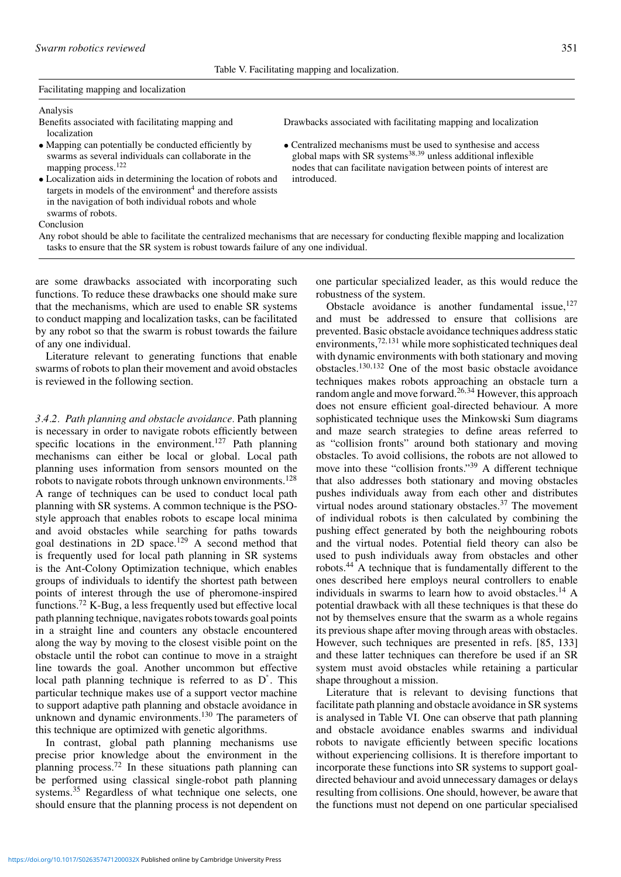Table V. Facilitating mapping and localization.

### Facilitating mapping and localization

### Analysis

Benefits associated with facilitating mapping and localization

- Mapping can potentially be conducted efficiently by swarms as several individuals can collaborate in the mapping process.<sup>122</sup>
- Localization aids in determining the location of robots and targets in models of the environment $4$  and therefore assists in the navigation of both individual robots and whole swarms of robots.

Conclusion

Any robot should be able to facilitate the centralized mechanisms that are necessary for conducting flexible mapping and localization tasks to ensure that the SR system is robust towards failure of any one individual.

introduced.

are some drawbacks associated with incorporating such functions. To reduce these drawbacks one should make sure that the mechanisms, which are used to enable SR systems to conduct mapping and localization tasks, can be facilitated by any robot so that the swarm is robust towards the failure of any one individual.

Literature relevant to generating functions that enable swarms of robots to plan their movement and avoid obstacles is reviewed in the following section.

*3.4.2. Path planning and obstacle avoidance.* Path planning is necessary in order to navigate robots efficiently between specific locations in the environment.<sup>127</sup> Path planning mechanisms can either be local or global. Local path planning uses information from sensors mounted on the robots to navigate robots through unknown environments.<sup>128</sup> A range of techniques can be used to conduct local path planning with SR systems. A common technique is the PSOstyle approach that enables robots to escape local minima and avoid obstacles while searching for paths towards goal destinations in 2D space.<sup>129</sup> A second method that is frequently used for local path planning in SR systems is the Ant-Colony Optimization technique, which enables groups of individuals to identify the shortest path between points of interest through the use of pheromone-inspired functions.<sup>72</sup> K-Bug, a less frequently used but effective local path planning technique, navigates robots towards goal points in a straight line and counters any obstacle encountered along the way by moving to the closest visible point on the obstacle until the robot can continue to move in a straight line towards the goal. Another uncommon but effective local path planning technique is referred to as D<sup>\*</sup>. This particular technique makes use of a support vector machine to support adaptive path planning and obstacle avoidance in unknown and dynamic environments.130 The parameters of this technique are optimized with genetic algorithms.

In contrast, global path planning mechanisms use precise prior knowledge about the environment in the planning process.<sup>72</sup> In these situations path planning can be performed using classical single-robot path planning systems.<sup>35</sup> Regardless of what technique one selects, one should ensure that the planning process is not dependent on one particular specialized leader, as this would reduce the robustness of the system.

Drawbacks associated with facilitating mapping and localization

• Centralized mechanisms must be used to synthesise and access global maps with SR systems<sup>38,39</sup> unless additional inflexible nodes that can facilitate navigation between points of interest are

> Obstacle avoidance is another fundamental issue,  $127$ and must be addressed to ensure that collisions are prevented. Basic obstacle avoidance techniques address static environments,<sup>72,131</sup> while more sophisticated techniques deal with dynamic environments with both stationary and moving obstacles.<sup>130</sup>*,*<sup>132</sup> One of the most basic obstacle avoidance techniques makes robots approaching an obstacle turn a random angle and move forward.<sup>26</sup>*,*<sup>34</sup> However, this approach does not ensure efficient goal-directed behaviour. A more sophisticated technique uses the Minkowski Sum diagrams and maze search strategies to define areas referred to as "collision fronts" around both stationary and moving obstacles. To avoid collisions, the robots are not allowed to move into these "collision fronts."39 A different technique that also addresses both stationary and moving obstacles pushes individuals away from each other and distributes virtual nodes around stationary obstacles. $37$  The movement of individual robots is then calculated by combining the pushing effect generated by both the neighbouring robots and the virtual nodes. Potential field theory can also be used to push individuals away from obstacles and other robots.<sup>44</sup> A technique that is fundamentally different to the ones described here employs neural controllers to enable individuals in swarms to learn how to avoid obstacles.<sup>14</sup> A potential drawback with all these techniques is that these do not by themselves ensure that the swarm as a whole regains its previous shape after moving through areas with obstacles. However, such techniques are presented in refs. [85, 133] and these latter techniques can therefore be used if an SR system must avoid obstacles while retaining a particular shape throughout a mission.

> Literature that is relevant to devising functions that facilitate path planning and obstacle avoidance in SR systems is analysed in Table VI. One can observe that path planning and obstacle avoidance enables swarms and individual robots to navigate efficiently between specific locations without experiencing collisions. It is therefore important to incorporate these functions into SR systems to support goaldirected behaviour and avoid unnecessary damages or delays resulting from collisions. One should, however, be aware that the functions must not depend on one particular specialised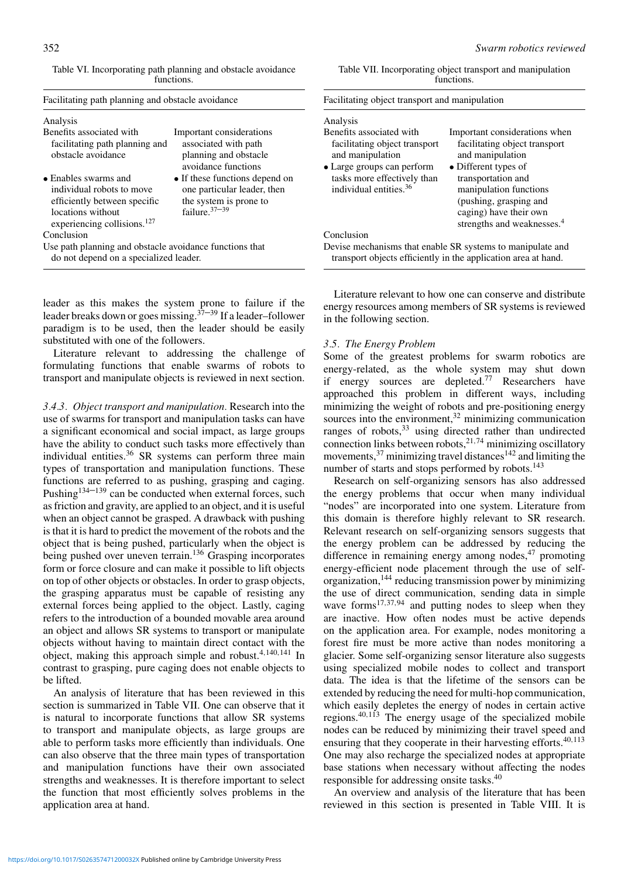Table VI. Incorporating path planning and obstacle avoidance functions.

| Analysis                                                                                                                                          |                                                                                                             |
|---------------------------------------------------------------------------------------------------------------------------------------------------|-------------------------------------------------------------------------------------------------------------|
| Benefits associated with                                                                                                                          | Important considerations                                                                                    |
| facilitating path planning and<br>obstacle avoidance                                                                                              | associated with path<br>planning and obstacle<br>avoidance functions                                        |
| • Enables swarms and<br>individual robots to move<br>efficiently between specific<br>locations without<br>experiencing collisions. <sup>127</sup> | • If these functions depend on<br>one particular leader, then<br>the system is prone to<br>failure. $37-39$ |
| Conclusion                                                                                                                                        |                                                                                                             |
| Use path planning and obstacle avoidance functions that<br>do not depend on a specialized leader.                                                 |                                                                                                             |

leader as this makes the system prone to failure if the leader breaks down or goes missing.<sup>37–39</sup> If a leader–follower paradigm is to be used, then the leader should be easily substituted with one of the followers.

Literature relevant to addressing the challenge of formulating functions that enable swarms of robots to transport and manipulate objects is reviewed in next section.

*3.4.3. Object transport and manipulation.* Research into the use of swarms for transport and manipulation tasks can have a significant economical and social impact, as large groups have the ability to conduct such tasks more effectively than individual entities. $36$  SR systems can perform three main types of transportation and manipulation functions. These functions are referred to as pushing, grasping and caging. Pushing<sup>134–139</sup> can be conducted when external forces, such as friction and gravity, are applied to an object, and it is useful when an object cannot be grasped. A drawback with pushing is that it is hard to predict the movement of the robots and the object that is being pushed, particularly when the object is being pushed over uneven terrain.<sup>136</sup> Grasping incorporates form or force closure and can make it possible to lift objects on top of other objects or obstacles. In order to grasp objects, the grasping apparatus must be capable of resisting any external forces being applied to the object. Lastly, caging refers to the introduction of a bounded movable area around an object and allows SR systems to transport or manipulate objects without having to maintain direct contact with the object, making this approach simple and robust.<sup>4</sup>*,*140*,*<sup>141</sup> In contrast to grasping, pure caging does not enable objects to be lifted.

An analysis of literature that has been reviewed in this section is summarized in Table VII. One can observe that it is natural to incorporate functions that allow SR systems to transport and manipulate objects, as large groups are able to perform tasks more efficiently than individuals. One can also observe that the three main types of transportation and manipulation functions have their own associated strengths and weaknesses. It is therefore important to select the function that most efficiently solves problems in the application area at hand.

| Table VII. Incorporating object transport and manipulation |
|------------------------------------------------------------|
| functions.                                                 |

| Facilitating object transport and manipulation                                                                                                                                               |                                                                                                                                                                                                                                                          |  |  |
|----------------------------------------------------------------------------------------------------------------------------------------------------------------------------------------------|----------------------------------------------------------------------------------------------------------------------------------------------------------------------------------------------------------------------------------------------------------|--|--|
| Analysis<br>Benefits associated with<br>facilitating object transport<br>and manipulation<br>• Large groups can perform<br>tasks more effectively than<br>individual entities. <sup>36</sup> | Important considerations when<br>facilitating object transport<br>and manipulation<br>• Different types of<br>transportation and<br>manipulation functions<br>(pushing, grasping and<br>caging) have their own<br>strengths and weaknesses. <sup>4</sup> |  |  |
| Conclusion                                                                                                                                                                                   |                                                                                                                                                                                                                                                          |  |  |
|                                                                                                                                                                                              | Devise mechanisms that enable SR systems to manipulate and<br>transport objects efficiently in the application area at hand.                                                                                                                             |  |  |

Literature relevant to how one can conserve and distribute energy resources among members of SR systems is reviewed in the following section.

# *3.5. The Energy Problem*

Some of the greatest problems for swarm robotics are energy-related, as the whole system may shut down if energy sources are depleted.<sup>77</sup> Researchers have approached this problem in different ways, including minimizing the weight of robots and pre-positioning energy sources into the environment, $32$  minimizing communication ranges of robots,<sup>33</sup> using directed rather than undirected connection links between robots,<sup>21,74</sup> minimizing oscillatory movements,  $37$  minimizing travel distances<sup>142</sup> and limiting the number of starts and stops performed by robots.<sup>143</sup>

Research on self-organizing sensors has also addressed the energy problems that occur when many individual "nodes" are incorporated into one system. Literature from this domain is therefore highly relevant to SR research. Relevant research on self-organizing sensors suggests that the energy problem can be addressed by reducing the difference in remaining energy among nodes, $47$  promoting energy-efficient node placement through the use of selforganization,<sup>144</sup> reducing transmission power by minimizing the use of direct communication, sending data in simple wave forms<sup>17,37,94</sup> and putting nodes to sleep when they are inactive. How often nodes must be active depends on the application area. For example, nodes monitoring a forest fire must be more active than nodes monitoring a glacier. Some self-organizing sensor literature also suggests using specialized mobile nodes to collect and transport data. The idea is that the lifetime of the sensors can be extended by reducing the need for multi-hop communication, which easily depletes the energy of nodes in certain active regions.<sup>40</sup>*,*<sup>113</sup> The energy usage of the specialized mobile nodes can be reduced by minimizing their travel speed and ensuring that they cooperate in their harvesting efforts.<sup>40</sup>*,*<sup>113</sup> One may also recharge the specialized nodes at appropriate base stations when necessary without affecting the nodes responsible for addressing onsite tasks.<sup>40</sup>

An overview and analysis of the literature that has been reviewed in this section is presented in Table VIII. It is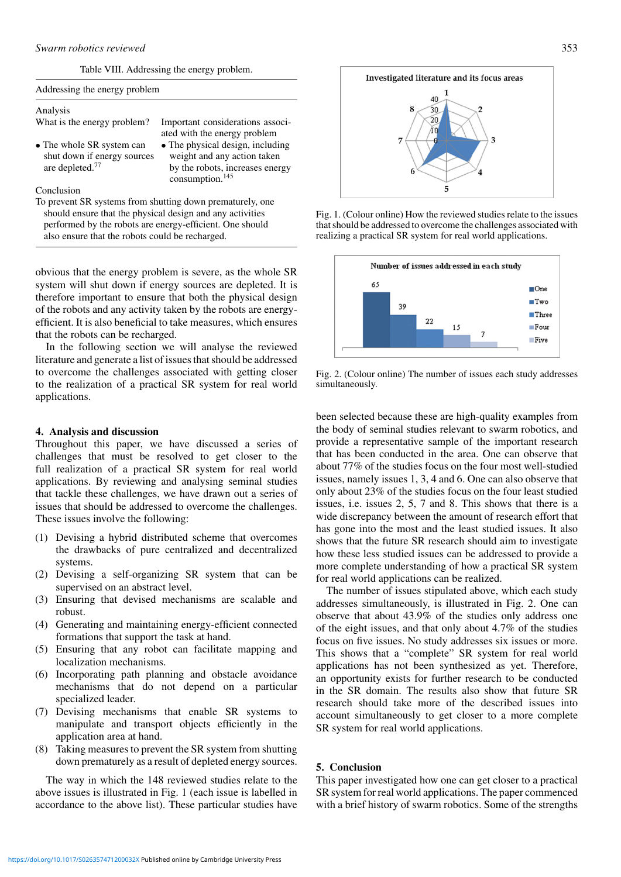Table VIII. Addressing the energy problem.

| Addressing the energy problem                                                           |                                                                                                                                   |  |  |
|-----------------------------------------------------------------------------------------|-----------------------------------------------------------------------------------------------------------------------------------|--|--|
| Analysis                                                                                |                                                                                                                                   |  |  |
| What is the energy problem?                                                             | Important considerations associ-<br>ated with the energy problem                                                                  |  |  |
| • The whole SR system can<br>shut down if energy sources<br>are depleted. <sup>77</sup> | • The physical design, including<br>weight and any action taken<br>by the robots, increases energy<br>consumption. <sup>145</sup> |  |  |
| Conclusion                                                                              |                                                                                                                                   |  |  |
| To prevent SR systems from shutting down prematurely, one                               |                                                                                                                                   |  |  |
| should ensure that the physical design and any activities                               |                                                                                                                                   |  |  |
| performed by the robots are energy-efficient. One should                                |                                                                                                                                   |  |  |
| also ensure that the robots could be recharged.                                         |                                                                                                                                   |  |  |

obvious that the energy problem is severe, as the whole SR system will shut down if energy sources are depleted. It is therefore important to ensure that both the physical design of the robots and any activity taken by the robots are energyefficient. It is also beneficial to take measures, which ensures that the robots can be recharged.

In the following section we will analyse the reviewed literature and generate a list of issues that should be addressed to overcome the challenges associated with getting closer to the realization of a practical SR system for real world applications.

# **4. Analysis and discussion**

Throughout this paper, we have discussed a series of challenges that must be resolved to get closer to the full realization of a practical SR system for real world applications. By reviewing and analysing seminal studies that tackle these challenges, we have drawn out a series of issues that should be addressed to overcome the challenges. These issues involve the following:

- (1) Devising a hybrid distributed scheme that overcomes the drawbacks of pure centralized and decentralized systems.
- (2) Devising a self-organizing SR system that can be supervised on an abstract level.
- (3) Ensuring that devised mechanisms are scalable and robust.
- (4) Generating and maintaining energy-efficient connected formations that support the task at hand.
- (5) Ensuring that any robot can facilitate mapping and localization mechanisms.
- (6) Incorporating path planning and obstacle avoidance mechanisms that do not depend on a particular specialized leader.
- (7) Devising mechanisms that enable SR systems to manipulate and transport objects efficiently in the application area at hand.
- (8) Taking measures to prevent the SR system from shutting down prematurely as a result of depleted energy sources.

The way in which the 148 reviewed studies relate to the above issues is illustrated in Fig. 1 (each issue is labelled in accordance to the above list). These particular studies have



Fig. 1. (Colour online) How the reviewed studies relate to the issues that should be addressed to overcome the challenges associated with realizing a practical SR system for real world applications.



Fig. 2. (Colour online) The number of issues each study addresses simultaneously.

been selected because these are high-quality examples from the body of seminal studies relevant to swarm robotics, and provide a representative sample of the important research that has been conducted in the area. One can observe that about 77% of the studies focus on the four most well-studied issues, namely issues 1, 3, 4 and 6. One can also observe that only about 23% of the studies focus on the four least studied issues, i.e. issues 2, 5, 7 and 8. This shows that there is a wide discrepancy between the amount of research effort that has gone into the most and the least studied issues. It also shows that the future SR research should aim to investigate how these less studied issues can be addressed to provide a more complete understanding of how a practical SR system for real world applications can be realized.

The number of issues stipulated above, which each study addresses simultaneously, is illustrated in Fig. 2. One can observe that about 43.9% of the studies only address one of the eight issues, and that only about 4.7% of the studies focus on five issues. No study addresses six issues or more. This shows that a "complete" SR system for real world applications has not been synthesized as yet. Therefore, an opportunity exists for further research to be conducted in the SR domain. The results also show that future SR research should take more of the described issues into account simultaneously to get closer to a more complete SR system for real world applications.

# **5. Conclusion**

This paper investigated how one can get closer to a practical SR system for real world applications. The paper commenced with a brief history of swarm robotics. Some of the strengths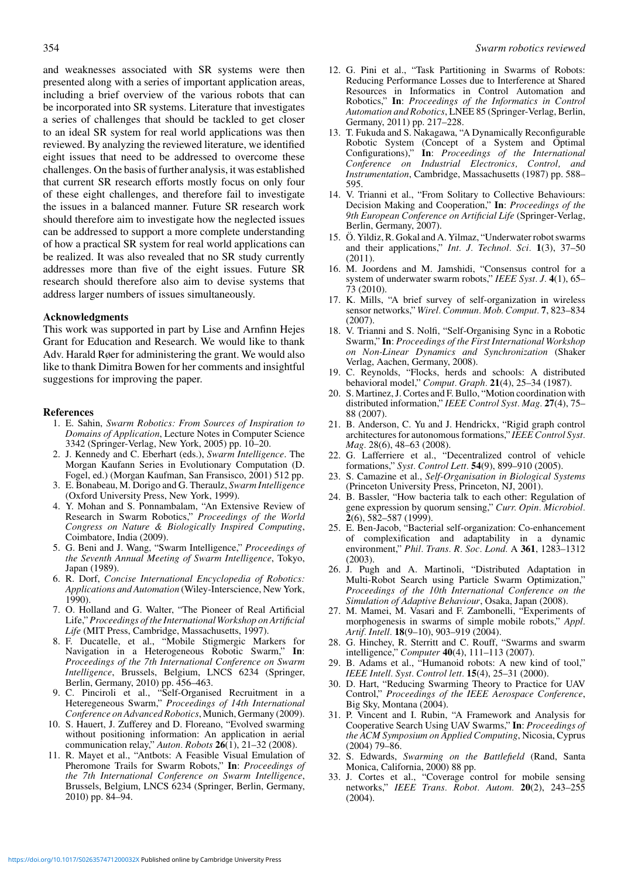and weaknesses associated with SR systems were then presented along with a series of important application areas, including a brief overview of the various robots that can be incorporated into SR systems. Literature that investigates a series of challenges that should be tackled to get closer to an ideal SR system for real world applications was then reviewed. By analyzing the reviewed literature, we identified eight issues that need to be addressed to overcome these challenges. On the basis of further analysis, it was established that current SR research efforts mostly focus on only four of these eight challenges, and therefore fail to investigate the issues in a balanced manner. Future SR research work should therefore aim to investigate how the neglected issues can be addressed to support a more complete understanding of how a practical SR system for real world applications can be realized. It was also revealed that no SR study currently addresses more than five of the eight issues. Future SR research should therefore also aim to devise systems that address larger numbers of issues simultaneously.

## **Acknowledgments**

This work was supported in part by Lise and Arnfinn Hejes Grant for Education and Research. We would like to thank Adv. Harald Røer for administering the grant. We would also like to thank Dimitra Bowen for her comments and insightful suggestions for improving the paper.

### **References**

- 1. E. Sahin, *Swarm Robotics: From Sources of Inspiration to Domains of Application*, Lecture Notes in Computer Science 3342 (Springer-Verlag, New York, 2005) pp. 10–20.
- 2. J. Kennedy and C. Eberhart (eds.), *Swarm Intelligence*. The Morgan Kaufann Series in Evolutionary Computation (D. Fogel, ed.) (Morgan Kaufman, San Fransisco, 2001) 512 pp.
- 3. E. Bonabeau, M. Dorigo and G. Theraulz, *Swarm Intelligence* (Oxford University Press, New York, 1999).
- 4. Y. Mohan and S. Ponnambalam, "An Extensive Review of Research in Swarm Robotics," *Proceedings of the World Congress on Nature & Biologically Inspired Computing*, Coimbatore, India (2009).
- 5. G. Beni and J. Wang, "Swarm Intelligence," *Proceedings of the Seventh Annual Meeting of Swarm Intelligence*, Tokyo, Japan (1989).
- 6. R. Dorf, *Concise International Encyclopedia of Robotics: Applications and Automation* (Wiley-Interscience, New York, 1990).
- 7. O. Holland and G. Walter, "The Pioneer of Real Artificial Life," *Proceedings of the International Workshop on Artificial Life* (MIT Press, Cambridge, Massachusetts, 1997).
- 8. F. Ducatelle, et al., "Mobile Stigmergic Markers for Navigation in a Heterogeneous Robotic Swarm," **In**: *Proceedings of the 7th International Conference on Swarm Intelligence*, Brussels, Belgium, LNCS 6234 (Springer, Berlin, Germany, 2010) pp. 456–463.
- 9. C. Pinciroli et al., "Self-Organised Recruitment in a Heteregeneous Swarm," *Proceedings of 14th International Conference on Advanced Robotics*, Munich, Germany (2009).
- 10. S. Hauert, J. Zufferey and D. Floreano, "Evolved swarming without positioning information: An application in aerial communication relay," *Auton. Robots* **26**(1), 21–32 (2008).
- 11. R. Mayet et al., "Antbots: A Feasible Visual Emulation of Pheromone Trails for Swarm Robots," **In**: *Proceedings of the 7th International Conference on Swarm Intelligence*, Brussels, Belgium, LNCS 6234 (Springer, Berlin, Germany, 2010) pp. 84–94.
- 12. G. Pini et al., "Task Partitioning in Swarms of Robots: Reducing Performance Losses due to Interference at Shared Resources in Informatics in Control Automation and Robotics," **In**: *Proceedings of the Informatics in Control Automation and Robotics*, LNEE 85 (Springer-Verlag, Berlin, Germany, 2011) pp. 217–228.
- 13. T. Fukuda and S. Nakagawa, "A Dynamically Reconfigurable Robotic System (Concept of a System and Optimal Configurations)," **In**: *Proceedings of the International Conference on Industrial Electronics, Control, and Instrumentation*, Cambridge, Massachusetts (1987) pp. 588– 595.
- 14. V. Trianni et al., "From Solitary to Collective Behaviours: Decision Making and Cooperation," **In**: *Proceedings of the 9th European Conference on Artificial Life* (Springer-Verlag, Berlin, Germany, 2007).
- 15. Ö. Yildiz, R. Gokal and A. Yilmaz, "Underwater robot swarms and their applications," *Int. J. Technol. Sci.* **1**(3), 37–50 (2011).
- 16. M. Joordens and M. Jamshidi, "Consensus control for a system of underwater swarm robots," *IEEE Syst. J.* **4**(1), 65– 73 (2010).
- 17. K. Mills, "A brief survey of self-organization in wireless sensor networks," *Wirel. Commun. Mob. Comput.* **7**, 823–834 (2007).
- 18. V. Trianni and S. Nolfi, "Self-Organising Sync in a Robotic Swarm," **In**: *Proceedings of the First International Workshop on Non-Linear Dynamics and Synchronization* (Shaker Verlag, Aachen, Germany, 2008).
- 19. C. Reynolds, "Flocks, herds and schools: A distributed behavioral model," *Comput. Graph.* **21**(4), 25–34 (1987).
- 20. S. Martinez, J. Cortes and F. Bullo, "Motion coordination with distributed information," *IEEE Control Syst. Mag.* **27**(4), 75– 88 (2007).
- 21. B. Anderson, C. Yu and J. Hendrickx, "Rigid graph control architectures for autonomous formations," *IEEE Control Syst. Mag.* 28(6), 48–63 (2008).
- 22. G. Lafferriere et al., "Decentralized control of vehicle formations," *Syst. Control Lett.* **54**(9), 899–910 (2005).
- 23. S. Camazine et al., *Self-Organisation in Biological Systems* (Princeton University Press, Princeton, NJ, 2001).
- 24. B. Bassler, "How bacteria talk to each other: Regulation of gene expression by quorum sensing," *Curr. Opin. Microbiol.* **2**(6), 582–587 (1999).
- 25. E. Ben-Jacob, "Bacterial self-organization: Co-enhancement of complexification and adaptability in a dynamic environment," *Phil. Trans. R. Soc. Lond.* A **361**, 1283–1312 (2003).
- 26. J. Pugh and A. Martinoli, "Distributed Adaptation in Multi-Robot Search using Particle Swarm Optimization," *Proceedings of the 10th International Conference on the Simulation of Adaptive Behaviour*, Osaka, Japan (2008).
- 27. M. Mamei, M. Vasari and F. Zambonelli, "Experiments of morphogenesis in swarms of simple mobile robots," *Appl. Artif. Intell.* **18**(9–10), 903–919 (2004).
- 28. G. Hinchey, R. Sterritt and C. Rouff, "Swarms and swarm intelligence," *Computer* **40**(4), 111–113 (2007).
- 29. B. Adams et al., "Humanoid robots: A new kind of tool," *IEEE Intell. Syst. Control lett.* **15**(4), 25–31 (2000).
- 30. D. Hart, "Reducing Swarming Theory to Practice for UAV Control," *Proceedings of the IEEE Aerospace Conference*, Big Sky, Montana (2004).
- 31. P. Vincent and I. Rubin, "A Framework and Analysis for Cooperative Search Using UAV Swarms," **In**: *Proceedings of the ACM Symposium on Applied Computing*, Nicosia, Cyprus  $(2004)$  79–86.
- 32. S. Edwards, *Swarming on the Battlefield* (Rand, Santa Monica, California, 2000) 88 pp.
- 33. J. Cortes et al., "Coverage control for mobile sensing networks," *IEEE Trans. Robot. Autom.* **20**(2), 243–255 (2004).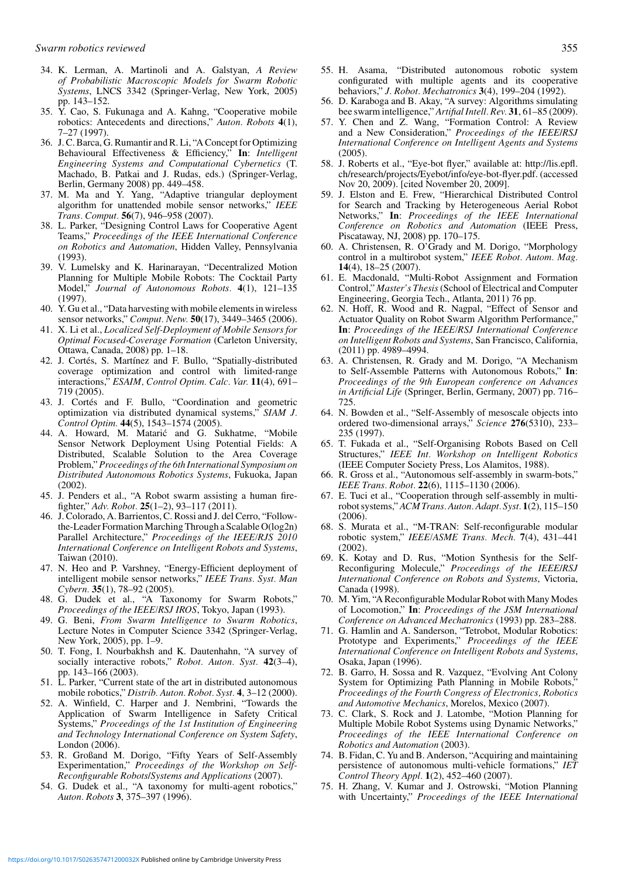- 34. K. Lerman, A. Martinoli and A. Galstyan, *A Review of Probabilistic Macroscopic Models for Swarm Robotic Systems*, LNCS 3342 (Springer-Verlag, New York, 2005) pp. 143–152.
- 35. Y. Cao, S. Fukunaga and A. Kahng, "Cooperative mobile robotics: Antecedents and directions," *Auton. Robots* **4**(1), 7–27 (1997).
- 36. J. C. Barca, G. Rumantir and R. Li, "A Concept for Optimizing Behavioural Effectiveness & Efficiency," **In**: *Intelligent Engineering Systems and Computational Cybernetics* (T. Machado, B. Patkai and J. Rudas, eds.) (Springer-Verlag, Berlin, Germany 2008) pp. 449–458.
- 37. M. Ma and Y. Yang, "Adaptive triangular deployment algorithm for unattended mobile sensor networks," *IEEE Trans. Comput.* **56**(7), 946–958 (2007).
- 38. L. Parker, "Designing Control Laws for Cooperative Agent Teams," *Proceedings of the IEEE International Conference on Robotics and Automation*, Hidden Valley, Pennsylvania (1993).
- 39. V. Lumelsky and K. Harinarayan, "Decentralized Motion Planning for Multiple Mobile Robots: The Cocktail Party Model," *Journal of Autonomous Robots.* **4**(1), 121–135 (1997).
- 40. Y. Gu et al., "Data harvesting with mobile elements in wireless sensor networks," *Comput. Netw.* **50**(17), 3449–3465 (2006).
- 41. X. Li et al., *Localized Self-Deployment of Mobile Sensors for Optimal Focused-Coverage Formation* (Carleton University, Ottawa, Canada, 2008) pp. 1–18.
- 42. J. Cortés, S. Martínez and F. Bullo, "Spatially-distributed coverage optimization and control with limited-range interactions," *ESAIM, Control Optim. Calc. Var.* **11**(4), 691– 719 (2005).
- 43. J. Cortés and F. Bullo, "Coordination and geometric optimization via distributed dynamical systems," *SIAM J. Control Optim.* **44**(5), 1543–1574 (2005).
- 44. A. Howard, M. Matarić and G. Sukhatme, "Mobile Sensor Network Deployment Using Potential Fields: A Distributed, Scalable Solution to the Area Coverage Problem," *Proceedings of the 6th International Symposium on Distributed Autonomous Robotics Systems*, Fukuoka, Japan (2002).
- 45. J. Penders et al., "A Robot swarm assisting a human firefighter," *Adv. Robot.* **25**(1–2), 93–117 (2011).
- 46. J. Colorado, A. Barrientos, C. Rossi and J. del Cerro, "Followthe-Leader Formation Marching Through a Scalable O(log2n) Parallel Architecture," *Proceedings of the IEEE/RJS 2010 International Conference on Intelligent Robots and Systems*, Taiwan (2010).
- 47. N. Heo and P. Varshney, "Energy-Efficient deployment of intelligent mobile sensor networks," *IEEE Trans. Syst. Man Cybern.* **35**(1), 78–92 (2005).
- 48. G. Dudek et al., "A Taxonomy for Swarm Robots," *Proceedings of the IEEE/RSJ IROS*, Tokyo, Japan (1993).
- 49. G. Beni, *From Swarm Intelligence to Swarm Robotics*, Lecture Notes in Computer Science 3342 (Springer-Verlag, New York, 2005), pp. 1–9.
- 50. T. Fong, I. Nourbakhsh and K. Dautenhahn, "A survey of socially interactive robots," *Robot. Auton. Syst.* **42**(3–4), pp. 143–166 (2003).
- 51. L. Parker, "Current state of the art in distributed autonomous mobile robotics," *Distrib. Auton. Robot. Syst.* **4**, 3–12 (2000).
- 52. A. Winfield, C. Harper and J. Nembrini, "Towards the Application of Swarm Intelligence in Safety Critical Systems," *Proceedings of the 1st Institution of Engineering and Technology International Conference on System Safety*, London (2006).
- 53. R. Großand M. Dorigo, "Fifty Years of Self-Assembly Experimentation," *Proceedings of the Workshop on Self-Reconfigurable Robots*/*Systems and Applications* (2007).
- 54. G. Dudek et al., "A taxonomy for multi-agent robotics," *Auton. Robots* **3**, 375–397 (1996).
- 55. H. Asama, "Distributed autonomous robotic system configurated with multiple agents and its cooperative behaviors," *J. Robot. Mechatronics* **3**(4), 199–204 (1992).
- 56. D. Karaboga and B. Akay, "A survey: Algorithms simulating bee swarm intelligence," *Artifial Intell. Rev.* **31**, 61–85 (2009).
- 57. Y. Chen and Z. Wang, "Formation Control: A Review and a New Consideration," *Proceedings of the IEEE*/*RSJ International Conference on Intelligent Agents and Systems* (2005).
- 58. J. Roberts et al., "Eye-bot flyer," available at: http://lis.epfl. ch/research/projects/Eyebot/info/eye-bot-flyer.pdf. (accessed Nov 20, 2009). [cited November 20, 2009].
- 59. J. Elston and E. Frew, "Hierarchical Distributed Control for Search and Tracking by Heterogeneous Aerial Robot Networks," **In**: *Proceedings of the IEEE International Conference on Robotics and Automation* (IEEE Press, Piscataway, NJ, 2008) pp. 170–175.
- 60. A. Christensen, R. O'Grady and M. Dorigo, "Morphology control in a multirobot system," *IEEE Robot. Autom. Mag.* **14**(4), 18–25 (2007).
- 61. E. Macdonald, "Multi-Robot Assignment and Formation Control," *Master's Thesis*(School of Electrical and Computer Engineering, Georgia Tech., Atlanta, 2011) 76 pp.
- 62. N. Hoff, R. Wood and R. Nagpal, "Effect of Sensor and Actuator Quality on Robot Swarm Algorithm Performance," **In**: *Proceedings of the IEEE/RSJ International Conference on Intelligent Robots and Systems*, San Francisco, California, (2011) pp. 4989–4994.
- 63. A. Christensen, R. Grady and M. Dorigo, "A Mechanism to Self-Assemble Patterns with Autonomous Robots," **In**: *Proceedings of the 9th European conference on Advances in Artificial Life* (Springer, Berlin, Germany, 2007) pp. 716– 725.
- 64. N. Bowden et al., "Self-Assembly of mesoscale objects into ordered two-dimensional arrays," *Science* **276**(5310), 233– 235 (1997).
- 65. T. Fukada et al., "Self-Organising Robots Based on Cell Structures," *IEEE Int. Workshop on Intelligent Robotics* (IEEE Computer Society Press, Los Alamitos, 1988).
- 66. R. Gross et al., "Autonomous self-assembly in swarm-bots," *IEEE Trans. Robot.* **22**(6), 1115–1130 (2006).
- 67. E. Tuci et al., "Cooperation through self-assembly in multirobot systems,"*ACM Trans. Auton. Adapt. Syst.* **1**(2), 115–150 (2006).
- 68. S. Murata et al., "M-TRAN: Self-reconfigurable modular robotic system," *IEEE/ASME Trans. Mech.* **7**(4), 431–441 (2002).
- 69. K. Kotay and D. Rus, "Motion Synthesis for the Self-Reconfiguring Molecule," *Proceedings of the IEEE*/*RSJ International Conference on Robots and Systems*, Victoria, Canada (1998).
- 70. M. Yim, "A Reconfigurable Modular Robot with Many Modes of Locomotion," **In**: *Proceedings of the JSM International Conference on Advanced Mechatronics* (1993) pp. 283–288.
- 71. G. Hamlin and A. Sanderson, "Tetrobot, Modular Robotics: Prototype and Experiments," *Proceedings of the IEEE International Conference on Intelligent Robots and Systems*, Osaka, Japan (1996).
- 72. B. Garro, H. Sossa and R. Vazquez, "Evolving Ant Colony System for Optimizing Path Planning in Mobile Robots, *Proceedings of the Fourth Congress of Electronics, Robotics and Automotive Mechanics*, Morelos, Mexico (2007).
- 73. C. Clark, S. Rock and J. Latombe, "Motion Planning for Multiple Mobile Robot Systems using Dynamic Networks," *Proceedings of the IEEE International Conference on Robotics and Automation* (2003).
- 74. B. Fidan, C. Yu and B. Anderson, "Acquiring and maintaining persistence of autonomous multi-vehicle formations," *IET Control Theory Appl.* **1**(2), 452–460 (2007).
- 75. H. Zhang, V. Kumar and J. Ostrowski, "Motion Planning with Uncertainty," *Proceedings of the IEEE International*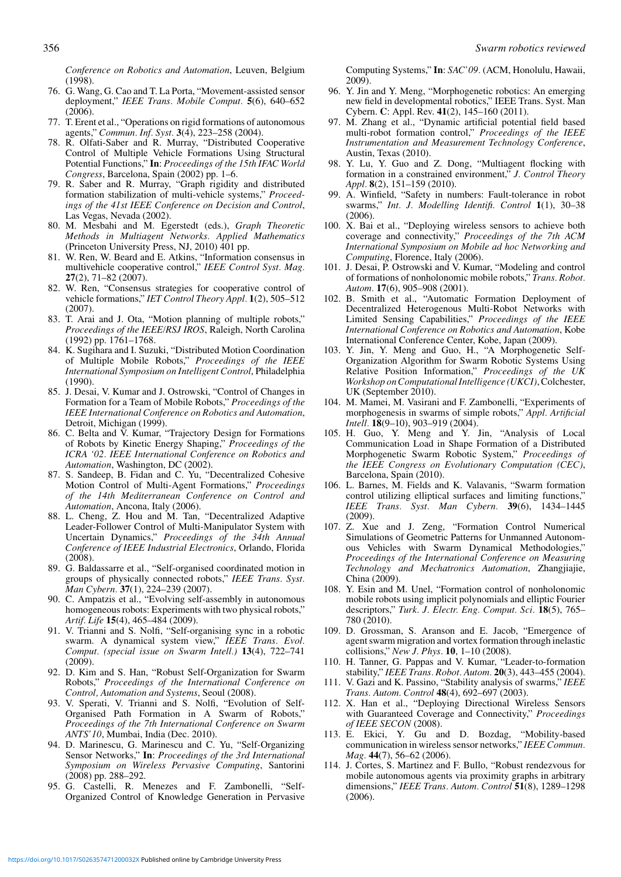*Conference on Robotics and Automation*, Leuven, Belgium (1998).

- 76. G. Wang, G. Cao and T. La Porta, "Movement-assisted sensor deployment," *IEEE Trans. Mobile Comput.* **5**(6), 640–652  $(2006)$ .
- 77. T. Erent et al., "Operations on rigid formations of autonomous agents," *Commun. Inf. Syst.* **3**(4), 223–258 (2004).
- 78. R. Olfati-Saber and R. Murray, "Distributed Cooperative Control of Multiple Vehicle Formations Using Structural Potential Functions," **In**: *Proceedings of the 15th IFAC World Congress*, Barcelona, Spain (2002) pp. 1–6.
- 79. R. Saber and R. Murray, "Graph rigidity and distributed formation stabilization of multi-vehicle systems," *Proceedings of the 41st IEEE Conference on Decision and Control*, Las Vegas, Nevada (2002).
- 80. M. Mesbahi and M. Egerstedt (eds.), *Graph Theoretic Methods in Multiagent Networks. Applied Mathematics* (Princeton University Press, NJ, 2010) 401 pp.
- 81. W. Ren, W. Beard and E. Atkins, "Information consensus in multivehicle cooperative control," *IEEE Control Syst. Mag.* **27**(2), 71–82 (2007).
- 82. W. Ren, "Consensus strategies for cooperative control of vehicle formations," *IET Control Theory Appl.* **1**(2), 505–512 (2007).
- 83. T. Arai and J. Ota, "Motion planning of multiple robots," *Proceedings of the IEEE/RSJ IROS*, Raleigh, North Carolina (1992) pp. 1761–1768.
- 84. K. Sugihara and I. Suzuki, "Distributed Motion Coordination of Multiple Mobile Robots," *Proceedings of the IEEE International Symposium on Intelligent Control*, Philadelphia (1990).
- 85. J. Desai, V. Kumar and J. Ostrowski, "Control of Changes in Formation for a Team of Mobile Robots," *Proceedings of the IEEE International Conference on Robotics and Automation*, Detroit, Michigan (1999).
- 86. C. Belta and V. Kumar, "Trajectory Design for Formations of Robots by Kinetic Energy Shaping," *Proceedings of the ICRA '02. IEEE International Conference on Robotics and Automation*, Washington, DC (2002).
- 87. S. Sandeep, B. Fidan and C. Yu, "Decentralized Cohesive Motion Control of Multi-Agent Formations," *Proceedings of the 14th Mediterranean Conference on Control and Automation*, Ancona, Italy (2006).
- 88. L. Cheng, Z. Hou and M. Tan, "Decentralized Adaptive Leader-Follower Control of Multi-Manipulator System with Uncertain Dynamics," *Proceedings of the 34th Annual Conference of IEEE Industrial Electronics*, Orlando, Florida (2008).
- 89. G. Baldassarre et al., "Self-organised coordinated motion in groups of physically connected robots," *IEEE Trans. Syst. Man Cybern.* **37**(1), 224–239 (2007).
- 90. C. Ampatzis et al., "Evolving self-assembly in autonomous homogeneous robots: Experiments with two physical robots," *Artif. Life* **15**(4), 465–484 (2009).
- 91. V. Trianni and S. Nolfi, "Self-organising sync in a robotic swarm. A dynamical system view," *IEEE Trans. Evol. Comput. (special issue on Swarm Intell.)* **13**(4), 722–741 (2009).
- 92. D. Kim and S. Han, "Robust Self-Organization for Swarm Robots," *Proceedings of the International Conference on Control, Automation and Systems*, Seoul (2008).
- 93. V. Sperati, V. Trianni and S. Nolfi, "Evolution of Self-Organised Path Formation in A Swarm of Robots," *Proceedings of the 7th International Conference on Swarm ANTS'10*, Mumbai, India (Dec. 2010).
- 94. D. Marinescu, G. Marinescu and C. Yu, "Self-Organizing Sensor Networks," **In**: *Proceedings of the 3rd International Symposium on Wireless Pervasive Computing*, Santorini (2008) pp. 288–292.
- 95. G. Castelli, R. Menezes and F. Zambonelli, "Self-Organized Control of Knowledge Generation in Pervasive

Computing Systems," **In**: *SAC'09.* (ACM, Honolulu, Hawaii, 2009).

- 96. Y. Jin and Y. Meng, "Morphogenetic robotics: An emerging new field in developmental robotics," IEEE Trans. Syst. Man Cybern. **C**: Appl. Rev. **41**(2), 145–160 (2011).
- 97. M. Zhang et al., "Dynamic artificial potential field based multi-robot formation control," *Proceedings of the IEEE Instrumentation and Measurement Technology Conference*, Austin, Texas (2010).
- 98. Y. Lu, Y. Guo and Z. Dong, "Multiagent flocking with formation in a constrained environment," *J. Control Theory Appl.* **8**(2), 151–159 (2010).
- 99. A. Winfield, "Safety in numbers: Fault-tolerance in robot swarms," *Int. J. Modelling Identifi. Control* **1**(1), 30–38 (2006).
- 100. X. Bai et al., "Deploying wireless sensors to achieve both coverage and connectivity," *Proceedings of the 7th ACM International Symposium on Mobile ad hoc Networking and Computing*, Florence, Italy (2006).
- 101. J. Desai, P. Ostrowski and V. Kumar, "Modeling and control of formations of nonholonomic mobile robots," *Trans. Robot. Autom.* **17**(6), 905–908 (2001).
- 102. B. Smith et al., "Automatic Formation Deployment of Decentralized Heterogenous Multi-Robot Networks with Limited Sensing Capabilities," *Proceedings of the IEEE International Conference on Robotics and Automation*, Kobe International Conference Center, Kobe, Japan (2009).
- 103. Y. Jin, Y. Meng and Guo, H., "A Morphogenetic Self-Organization Algorithm for Swarm Robotic Systems Using Relative Position Information," *Proceedings of the UK Workshop on Computational Intelligence (UKCI)*, Colchester, UK (September 2010).
- 104. M. Mamei, M. Vasirani and F. Zambonelli, "Experiments of morphogenesis in swarms of simple robots," *Appl. Artificial Intell.* **18**(9–10), 903–919 (2004).
- 105. H. Guo, Y. Meng and Y. Jin, "Analysis of Local Communication Load in Shape Formation of a Distributed Morphogenetic Swarm Robotic System," *Proceedings of the IEEE Congress on Evolutionary Computation (CEC)*, Barcelona, Spain (2010).
- 106. L. Barnes, M. Fields and K. Valavanis, "Swarm formation control utilizing elliptical surfaces and limiting functions, *IEEE Trans. Syst. Man Cybern.* **39**(6), 1434–1445 (2009).
- 107. Z. Xue and J. Zeng, "Formation Control Numerical Simulations of Geometric Patterns for Unmanned Autonomous Vehicles with Swarm Dynamical Methodologies," *Proceedings of the International Conference on Measuring Technology and Mechatronics Automation*, Zhangjiajie, China (2009).
- 108. Y. Esin and M. Unel, "Formation control of nonholonomic mobile robots using implicit polynomials and elliptic Fourier descriptors," *Turk. J. Electr. Eng. Comput. Sci.* **18**(5), 765– 780 (2010).
- 109. D. Grossman, S. Aranson and E. Jacob, "Emergence of agent swarm migration and vortex formation through inelastic collisions," *New J. Phys.* **10**, 1–10 (2008).
- 110. H. Tanner, G. Pappas and V. Kumar, "Leader-to-formation stability," *IEEE Trans. Robot. Autom.* **20**(3), 443–455 (2004).
- 111. V. Gazi and K. Passino, "Stability analysis of swarms," *IEEE Trans. Autom. Control* **48**(4), 692–697 (2003).
- 112. X. Han et al., "Deploying Directional Wireless Sensors with Guaranteed Coverage and Connectivity," *Proceedings of IEEE SECON* (2008).
- 113. E. Ekici, Y. Gu and D. Bozdag, "Mobility-based communication in wireless sensor networks," *IEEE Commun. Mag.* **44**(7), 56–62 (2006).
- 114. J. Cortes, S. Martinez and F. Bullo, "Robust rendezvous for mobile autonomous agents via proximity graphs in arbitrary dimensions," *IEEE Trans. Autom. Control* **51**(8), 1289–1298 (2006).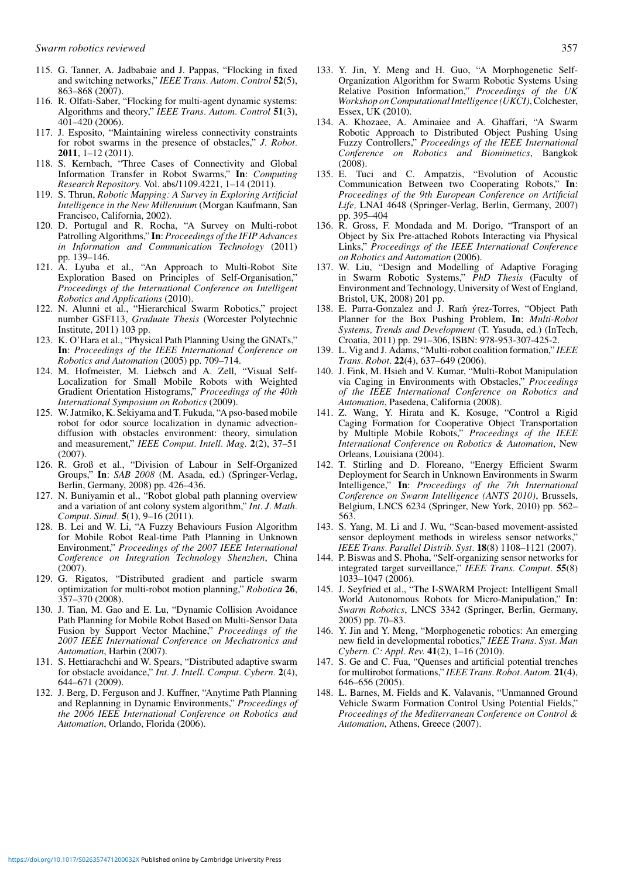- 115. G. Tanner, A. Jadbabaie and J. Pappas, "Flocking in fixed and switching networks," *IEEE Trans. Autom. Control* **52**(5), 863–868 (2007).
- 116. R. Olfati-Saber, "Flocking for multi-agent dynamic systems: Algorithms and theory," *IEEE Trans. Autom. Control* **51**(3), 401–420 (2006).
- 117. J. Esposito, "Maintaining wireless connectivity constraints for robot swarms in the presence of obstacles," *J. Robot.* **2011**, 1–12 (2011).
- 118. S. Kernbach, "Three Cases of Connectivity and Global Information Transfer in Robot Swarms," **In**: *Computing Research Repository.* Vol. abs/1109.4221, 1–14 (2011).
- 119. S. Thrun, *Robotic Mapping: A Survey in Exploring Artificial Intelligence in the New Millennium* (Morgan Kaufmann, San Francisco, California, 2002).
- 120. D. Portugal and R. Rocha, "A Survey on Multi-robot Patrolling Algorithms," **In**: *Proceedings of the IFIP Advances in Information and Communication Technology* (2011) pp. 139–146.
- 121. A. Lyuba et al., "An Approach to Multi-Robot Site Exploration Based on Principles of Self-Organisation," *Proceedings of the International Conference on Intelligent Robotics and Applications* (2010).
- 122. N. Alunni et al., "Hierarchical Swarm Robotics," project number GSF113, *Graduate Thesis* (Worcester Polytechnic Institute, 2011) 103 pp.
- 123. K. O'Hara et al., "Physical Path Planning Using the GNATs," **In**: *Proceedings of the IEEE International Conference on Robotics and Automation* (2005) pp. 709–714.
- 124. M. Hofmeister, M. Liebsch and A. Zell, "Visual Self-Localization for Small Mobile Robots with Weighted Gradient Orientation Histograms," *Proceedings of the 40th International Symposium on Robotics* (2009).
- 125. W. Jatmiko, K. Sekiyama and T. Fukuda, "A pso-based mobile robot for odor source localization in dynamic advectiondiffusion with obstacles environment: theory, simulation and measurement," *IEEE Comput. Intell. Mag.* **2**(2), 37–51 (2007).
- 126. R. Groß et al., "Division of Labour in Self-Organized Groups," **In**: *SAB 2008* (M. Asada, ed.) (Springer-Verlag, Berlin, Germany, 2008) pp. 426–436.
- 127. N. Buniyamin et al., "Robot global path planning overview and a variation of ant colony system algorithm," *Int. J. Math. Comput. Simul.* **5**(1), 9–16 (2011).
- 128. B. Lei and W. Li, "A Fuzzy Behaviours Fusion Algorithm for Mobile Robot Real-time Path Planning in Unknown Environment," *Proceedings of the 2007 IEEE International Conference on Integration Technology Shenzhen*, China (2007).
- 129. G. Rigatos, "Distributed gradient and particle swarm optimization for multi-robot motion planning," *Robotica* **26**, 357–370 (2008).
- 130. J. Tian, M. Gao and E. Lu, "Dynamic Collision Avoidance Path Planning for Mobile Robot Based on Multi-Sensor Data Fusion by Support Vector Machine," *Proceedings of the 2007 IEEE International Conference on Mechatronics and Automation*, Harbin (2007).
- 131. S. Hettiarachchi and W. Spears, "Distributed adaptive swarm for obstacle avoidance," *Int. J. Intell. Comput. Cybern.* **2**(4), 644–671 (2009).
- 132. J. Berg, D. Ferguson and J. Kuffner, "Anytime Path Planning and Replanning in Dynamic Environments," *Proceedings of the 2006 IEEE International Conference on Robotics and Automation*, Orlando, Florida (2006).
- 133. Y. Jin, Y. Meng and H. Guo, "A Morphogenetic Self-Organization Algorithm for Swarm Robotic Systems Using Relative Position Information," *Proceedings of the UK Workshop on Computational Intelligence (UKCI)*, Colchester, Essex, UK (2010).
- 134. A. Khozaee, A. Aminaiee and A. Ghaffari, "A Swarm Robotic Approach to Distributed Object Pushing Using Fuzzy Controllers," *Proceedings of the IEEE International Conference on Robotics and Biomimetics*, Bangkok  $(2008).$
- 135. E. Tuci and C. Ampatzis, "Evolution of Acoustic Communication Between two Cooperating Robots," **In**: *Proceedings of the 9th European Conference on Artificial Life,* LNAI 4648 (Springer-Verlag, Berlin, Germany, 2007) pp. 395–404
- 136. R. Gross, F. Mondada and M. Dorigo, "Transport of an Object by Six Pre-attached Robots Interacting via Physical Links," *Proceedings of the IEEE International Conference on Robotics and Automation* (2006).
- 137. W. Liu, "Design and Modelling of Adaptive Foraging in Swarm Robotic Systems," *PhD Thesis* (Faculty of Environment and Technology, University of West of England, Bristol, UK, 2008) 201 pp.
- 138. E. Parra-Gonzalez and J. Ram´ yrez-Torres, "Object Path Planner for the Box Pushing Problem, **In**: *Multi-Robot Systems, Trends and Development* (T. Yasuda, ed.) (InTech, Croatia, 2011) pp. 291–306, ISBN: 978-953-307-425-2.
- 139. L. Vig and J. Adams, "Multi-robot coalition formation," *IEEE Trans. Robot.* **22**(4), 637–649 (2006).
- 140. J. Fink, M. Hsieh and V. Kumar, "Multi-Robot Manipulation via Caging in Environments with Obstacles," *Proceedings of the IEEE International Conference on Robotics and Automation*, Pasedena, California (2008).
- 141. Z. Wang, Y. Hirata and K. Kosuge, "Control a Rigid Caging Formation for Cooperative Object Transportation by Multiple Mobile Robots," *Proceedings of the IEEE International Conference on Robotics & Automation*, New Orleans, Louisiana (2004).
- 142. T. Stirling and D. Floreano, "Energy Efficient Swarm Deployment for Search in Unknown Environments in Swarm Intelligence," **In**: *Proceedings of the 7th International Conference on Swarm Intelligence (ANTS 2010)*, Brussels, Belgium, LNCS 6234 (Springer, New York, 2010) pp. 562– 563.
- 143. S. Yang, M. Li and J. Wu, "Scan-based movement-assisted sensor deployment methods in wireless sensor networks," *IEEE Trans. Parallel Distrib. Syst.* **18**(8) 1108–1121 (2007).
- 144. P. Biswas and S. Phoha, "Self-organizing sensor networks for integrated target surveillance," *IEEE Trans. Comput.* **55**(8) 1033–1047 (2006).
- 145. J. Seyfried et al., "The I-SWARM Project: Intelligent Small World Autonomous Robots for Micro-Manipulation," **In**: *Swarm Robotics*, LNCS 3342 (Springer, Berlin, Germany, 2005) pp. 70–83.
- 146. Y. Jin and Y. Meng, "Morphogenetic robotics: An emerging new field in developmental robotics," *IEEE Trans. Syst. Man Cybern. C: Appl. Rev.* **41**(2), 1–16 (2010).
- 147. S. Ge and C. Fua, "Quenses and artificial potential trenches for multirobot formations," *IEEE Trans. Robot. Autom.* **21**(4), 646–656 (2005).
- 148. L. Barnes, M. Fields and K. Valavanis, "Unmanned Ground Vehicle Swarm Formation Control Using Potential Fields," *Proceedings of the Mediterranean Conference on Control & Automation*, Athens, Greece (2007).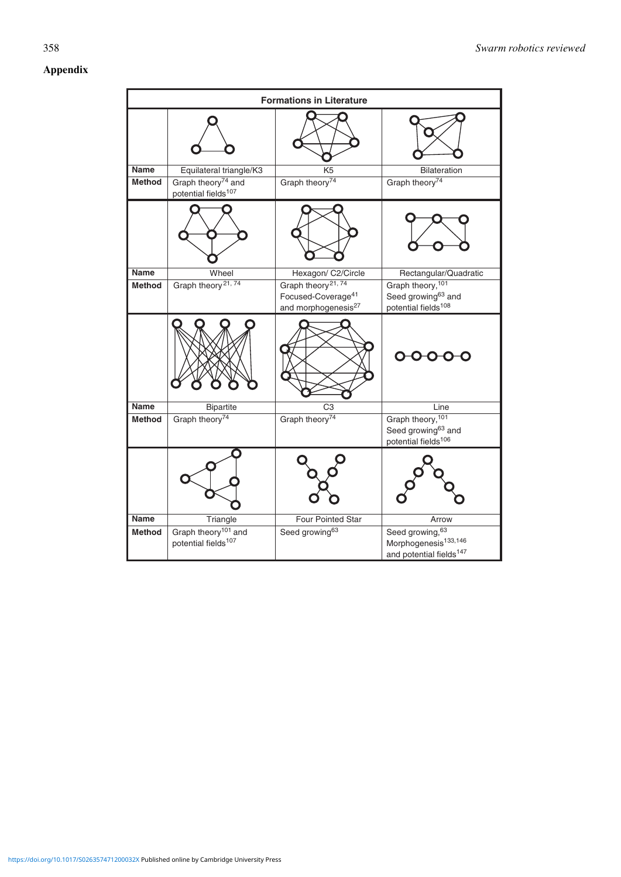# **Appendix**

|                       | <b>Formations in Literature</b>                                    |                                              |                                                                                             |  |  |
|-----------------------|--------------------------------------------------------------------|----------------------------------------------|---------------------------------------------------------------------------------------------|--|--|
|                       |                                                                    |                                              |                                                                                             |  |  |
| Name<br><b>Method</b> | Equilateral triangle/K3<br>Graph theory <sup>74</sup> and          | K <sub>5</sub><br>Graph theory <sup>74</sup> | Bilateration<br>Graph theory <sup>74</sup>                                                  |  |  |
|                       | potential fields <sup>107</sup>                                    |                                              |                                                                                             |  |  |
|                       |                                                                    |                                              |                                                                                             |  |  |
| <b>Name</b>           | Wheel                                                              | Hexagon/ C2/Circle                           | Rectangular/Quadratic                                                                       |  |  |
| <b>Method</b>         | Graph theory <sup>21,74</sup>                                      | Graph theory <sup>21,74</sup>                | Graph theory, 101                                                                           |  |  |
|                       |                                                                    | Focused-Coverage <sup>41</sup>               | Seed growing <sup>63</sup> and                                                              |  |  |
|                       |                                                                    | and morphogenesis <sup>27</sup>              | potential fields <sup>108</sup>                                                             |  |  |
|                       |                                                                    |                                              |                                                                                             |  |  |
| Name                  | <b>Bipartite</b>                                                   | C3                                           | Line                                                                                        |  |  |
| <b>Method</b>         | Graph theory <sup>74</sup>                                         | Graph theory <sup>74</sup>                   | Graph theory, 101<br>Seed growing <sup>63</sup> and<br>potential fields <sup>106</sup>      |  |  |
|                       |                                                                    |                                              |                                                                                             |  |  |
| Name                  | Triangle                                                           | Four Pointed Star                            | Arrow                                                                                       |  |  |
| <b>Method</b>         | Graph theory <sup>101</sup> and<br>potential fields <sup>107</sup> | Seed growing <sup>63</sup>                   | Seed growing, 63<br>Morphogenesis <sup>133,146</sup><br>and potential fields <sup>147</sup> |  |  |